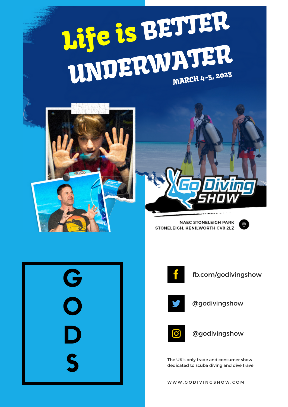## BETTER UNDERWATER Life is BE MARCH 4-5, 2023





**NAEC STONELEIGH PARK** STONELEIGH, KENILWORTH CV8 2LZ







fb.com/godivingshow



@godivingshow



@godivingshow

The UK's only trade and consumer show dedicated to scuba diving and dive travel

WWW.GODIVINGSHOW.COM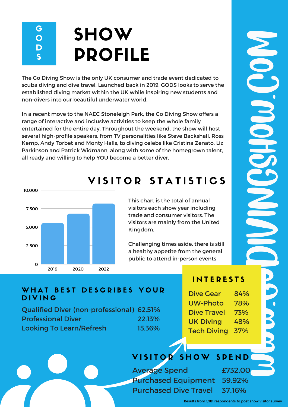#### G O D S **SHOW** PROFILE

The Go Diving Show is the only UK consumer and trade event dedicated to scuba diving and dive travel. Launched back in 2019, GODS looks to serve the established diving market within the UK while inspiring new students and non-divers into our beautiful underwater world.

In a recent move to the NAEC Stoneleigh Park, the Go Diving Show offers a range of interactive and inclusive activities to keep the whole family entertained for the entire day. Throughout the weekend, the show will host several high-profile speakers, from TV personalities like Steve Backshall, Ross Kemp, Andy Torbet and Monty Halls, to diving celebs like Cristina Zenato, Liz Parkinson and Patrick Widmann, along with some of the homegrown talent, all ready and willing to help YOU become a better diver.



### VISITOR STATISTICS

This chart is the total of annual visitors each show year including trade and consumer visitors. The visitors are mainly from the United Kingdom.

Challenging times aside, there is still a healthy appetite from the general public to attend in-person events

#### **INTERESTS**

#### WHAT BEST DESCRIBES YOUR **DIVING**

Qualified Diver (non-professional) 62.51% Professional Diver Looking To Learn/Refresh 22.13% 15.36%

| <b>Dive Gear</b>   | 84% |  |
|--------------------|-----|--|
| <b>UW-Photo</b>    | 78% |  |
| <b>Dive Travel</b> | 73% |  |
| <b>UK Diving</b>   | 48% |  |
| <b>Tech Diving</b> | 37% |  |
|                    |     |  |
|                    |     |  |

### VISITOR SHOW SPEND

Average Spend Purchased Equipment 59.92% Purchased Dive Travel £732.00 37.16%

Results from 1,381 respondents to post show visitor survey

 $\mathbf{B}$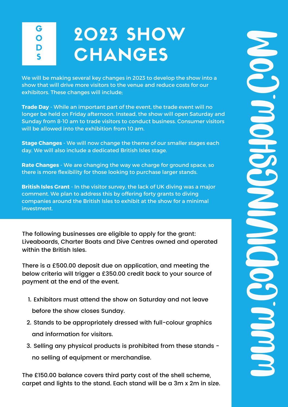G O D S

# 2023 SHOW **CHANGES**

We will be making several key changes in 2023 to develop the show into a show that will drive more visitors to the venue and reduce costs for our exhibitors. These changes will include;

**Trade Day** - While an important part of the event, the trade event will no longer be held on Friday afternoon. Instead, the show will open Saturday and Sunday from 8-10 am to trade visitors to conduct business. Consumer visitors will be allowed into the exhibition from 10 am.

**Stage Changes** - We will now change the theme of our smaller stages each day. We will also include a dedicated British Isles stage.

**Rate Changes** - We are changing the way we charge for ground space, so there is more flexibility for those looking to purchase larger stands.

**British Isles Grant** - In the visitor survey, the lack of UK diving was a major comment. We plan to address this by offering forty grants to diving companies around the British Isles to exhibit at the show for a minimal investment.

The following businesses are eligible to apply for the grant: Liveaboards, Charter Boats and Dive Centres owned and operated within the British Isles.

There is a £500.00 deposit due on application, and meeting the below criteria will trigger a £350.00 credit back to your source of payment at the end of the event.

- 1. Exhibitors must attend the show on Saturday and not leave before the show closes Sunday.
- 2. Stands to be appropriately dressed with full-colour graphics and information for visitors.
- Selling any physical products is prohibited from these stands 3. no selling of equipment or merchandise.

The £150.00 balance covers third party cost of the shell scheme, no selling of equipment or merchandise.<br>The £150.00 balance covers third party cost of the shell scheme,<br>carpet and lights to the stand. Each stand will be a 3m x 2m in size.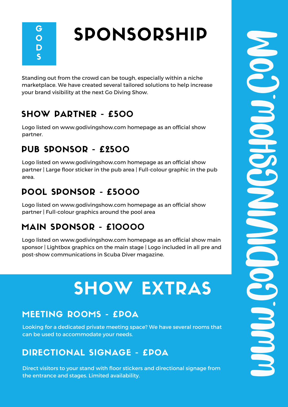G O D S

# SPONSORSHIP

Standing out from the crowd can be tough, especially within a niche marketplace. We have created several tailored solutions to help increase your brand visibility at the next Go Diving Show.

### SHOW PARTNER - £500

Logo listed on www.godivingshow.com homepage as an official show partner.

### PUB SPONSOR - £2500

Logo listed on www.godivingshow.com homepage as an official show partner | Large floor sticker in the pub area | Full-colour graphic in the pub area.

### POOL SPONSOR - £5000

Logo listed on www.godivingshow.com homepage as an official show partner | Full-colour graphics around the pool area

### MAIN SPONSOR - £10000

Logo listed on www.godivingshow.com homepage as an official show main sponsor | Lightbox graphics on the main stage | Logo included in all pre and post-show communications in Scuba Diver magazine.

## SHOW EXTRAS

#### MEETING ROOMS - £POA

Looking for a dedicated private meeting space? We have several rooms that can be used to accommodate your needs.

#### DIRECTIONAL SIGNAGE - £POA

Direct visitors to your stand with floor stickers and directional signage from THE ENTREMIND OF THE ENTREMIN OF THE ENTREMIN<br>Direct visitors to your stand with floor stickers and directional signage from<br>the entrance and stages. Limited availability.